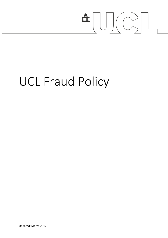

# UCL Fraud Policy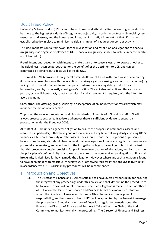## UCL's Fraud Policy

University College London (UCL) aims to be an honest and ethical institution, seeking to conduct its business to the highest standards of integrity and objectivity. In order to protect its financial systems, resources, and assets, and the honesty and integrity of its staff, it is important that UCL has an established policy in place to minimise the risk and impact of fraudulent or corrupt activity.

This document sets out a framework for the investigation and resolution of allegations of financial irregularity made against employees of UCL. Financial irregularity is taken to include in particular (but is not limited to):

**Fraud:** Intentional deception with intent to make a gain or to cause a loss, or to expose another to the risk of loss. It can be perpetrated for the benefit of or the detriment to UCL, and can be committed by persons outside as well as inside UCL.

The Fraud Act 2006 provides for a general criminal offence of fraud, with three ways of committing it: by false representation (with the intention of making a gain or causing a loss or risk to another); by failing to disclose information to another person where there is a legal duty to disclose such information; and by dishonestly abusing one's position. The Act also makes it an offence for any person, by any dishonest act, to obtain services for which payment is required, with the intent to avoid payment.

**Corruption:** The offering, giving, soliciting, or acceptance of an inducement or reward which may influence the action of any person.

To protect the excellent reputation and high standards of integrity of UCL and its staff, UCL will always prosecute suspected fraudsters whenever there is sufficient evidence to support a prosecution under the Fraud Act 2006.

All staff of UCL are under a general obligation to ensure the proper use of finances, assets, and resources; in particular, if they have good reason to suspect any financial irregularity involving UCL's finances, cash, stores, property or other assets, they should report their suspicions as prescribed below. Nonetheless, staff should bear in mind that an allegation of financial irregularity is serious and potentially defamatory, and could lead to the instigation of legal proceedings. It is in that context that this procedure contains provision for preliminary investigation of allegations, and lays stress on the principles of confidentiality. It also seeks to ensure that no-one making an allegation of financial irregularity is victimised for having made the allegation. However where any such allegation is found to have been made with malicious, mischievous, or otherwise reckless intentions disciplinary action in accordance with UCL's disciplinary procedures will be recommended.

## 1. Introduction and Objectives

1.1. The Director of Finance and Business Affairs shall have overall responsibility for ensuring the integrity of any proceedings under this policy, and shall determine the procedure to be followed in cases of doubt. However, where an allegation is made to a senior officer of UCL about the Director of Finance and Business Affairs or a member of staff for whom the Director of Finance and Business Affairs has a direct management responsibility, another senior officer of UCL will be appointed by the Provost to manage the proceedings. Should an allegation of financial irregularity be made about the Provost, the Director of Finance and Business Affairs will ask the Chair of the Audit Committee to monitor formally the proceedings. The Director of Finance and Business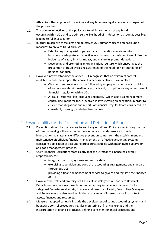Affairs (or other appointed officer) may at any time seek legal advice on any aspect of the proceedings.

- 1.2. The primary objectives of this policy are to minimise the risk of any fraud occurringwithin UCL, and to optimise the likelihood of its detection as soon as possible, leading to full investigation.
- 1.3. In order to achieve these aims and objectives UCL primarily places emphasis upon measures to prevent fraud, through:
	- Establishing managerial, supervisory, and operational systems which incorporate adequate and effective internal controls designed to minimise the incidence of fraud, limit its impact, and ensure its prompt detection.
	- Developing and promoting an organisational culture which encourages the prevention of fraud by raising awareness of the need for high standards of personal conduct.
- 1.4. However, notwithstanding the above, UCL recognises that no system of control is infallible: in order to support the above it is necessary also to have in place:
	- Clear written procedures to be followed by employees who have a suspicion of, or concern about: possible or actual fraud; corruption; or any other form of financial irregularity, within UCL.
	- A Fraud Response Plan (produced separately) which acts as a management control document for those involved in investigating an allegation, in order to ensure that allegations and reports of financial irregularity are considered in a consistent, thorough, and objective manner.

## 2. Responsibility for the Prevention and Detection of Fraud

- 2.1. Prevention should be the primary focus of any Anti-Fraud Policy, as minimising the risk of fraud occurring is likely to be far more effective than deterrence through investigation at a later stage. Effective prevention comes from the establishment and maintenance of: efficient financial management; an effective accounting system; consistent application of accounting procedures coupled with meaningful supervision; and good management practice.
- 2.2. UCL's Financial Regulations state clearly that the Director of Finance has overall responsibility for:
	- integrity of records, systems and source data;
	- exercising supervision and control of accounting arrangements and standards throughout UCL;
	- providing a financial management service to govern and regulate the finances of UCL.
- 2.3. However the scale and diversity of UCL results in delegated authority to Heads of Department, who are responsible for implementing suitable internal controls to safeguard Departmental assets, finances and resources. Faculty Deans, Line Managers and Supervisors are also enjoined in these processes of internal control to protect assets, finances and resources.
- 2.4. Measures adopted centrally include the development of sound accounting systems and budgetary control procedures, regular monitoring of financial trends and the interpretation of financial statistics, defining consistent financial processes and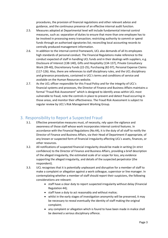procedures, the provision of financial regulations and other relevant advice and guidance, and the continuous presence of an effective internal audit function.

- 2.5. Measures adopted at Departmental level will include fundamental internal control measures, such as: separation of duties to ensure that more than one employee has to be involved in processing every transaction; restricting authority to commit or spend funds through an authorised signatories list; reconciling local accounting records to centrally produced management information.
- 2.6. In addition to the internal control framework, UCL also demands of all its employees high standards of personal conduct. The Financial Regulations make reference to the conduct expected of staff in handling UCL funds and in their dealings with suppliers, e.g. Disclosure of Interest (138-140), Gifts and Hospitality (134-137), Private Consultancy Work (39-40), Discretionary Funds (22-25), Purchasing (82-97), Personal Expense Claims (117-126). Also, there are references to staff disciplinary rules, and the UCL disciplinary and grievance procedures, contained in UCL's terms and conditions of service and available on the Human Resources website.
- 2.7. As the UCL officer responsible for this Fraud Policy and for the integrity of UCL's financial systems and processes, the Director of Finance and Business Affairs maintains a formal "Fraud Risk Assessment" which is designed to identify areas within UCL most vulnerable to fraud, note the controls in place to prevent and detect fraud occurring in those areas, and monitor their effectiveness. The Fraud Risk Assessment is subject to regular review by UCL's Risk Management Working Group.

#### 3. Responsibility to Report a Suspected Fraud

- 3.1. Effective preventative measures must, of necessity, rely upon the vigilance and awareness of those staff whose work incorporates internal control features. In accordance with the Financial Regulations (No.44), it is the duty of all staff to notify the Director of Finance and Business Affairs, via their Head of Department if appropriate, of any known or suspected form of financial irregularity affecting UCL's assets, finances, or other resources.
- 3.2. All notifications of suspected financial irregularity should be made in writing (in strict confidence) to the Director of Finance and Business Affairs, providing a brief description of the alleged irregularity, the estimated scale of or scope for loss, any evidence supporting the alleged irregularity, and details of the suspected perpetrator (the respondent).
- 3.3. UCL recognises that it is potentially unpleasant and disruptive for a member of staff to make a complaint or allegation against a work colleague, supervisor or line manager. In contemplating whether a member of staff should report their suspicions, the following considerations are relevant:
	- staff have a clear duty to report suspected irregularity without delay (Financial Regulation 44);
	- staff have a duty to act reasonably and without malice;
	- whilst in the early stages of investigation anonymity will be preserved, it may be necessary to reveal eventually the identity of staff making the original complaint;
	- any complaint or allegation which is found to have been made in malice shall be deemed a serious disciplinary offence.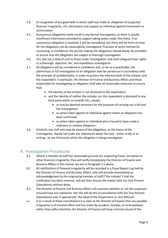- 3.4. In recognition of the good faith in which staff may make an allegation of suspected financial irregularity, UCL will protect and support an individual against harassment or victimisation.
- 3.5. Anonymous allegations rarely result in any formal investigation, as there is usually insufficient information provided to support taking action under this Policy. If an anonymous allegation is received, it will be considered, but there will be limits on how far the allegations can be meaningfully investigated. Provision of some method for contacting, in confidence, the person making the allegations should always be provided, to ensure that the allegations are subject to thorough investigation.
- 3.6. UCL also has a duty of care to those under investigation, and shall safeguard their rights to a thorough, objective, fair, and expeditious investigation.
- 3.7. All allegations will be considered in confidence and, so far as is practicable, the preliminary or full investigation of an allegation shall be carried out in accordance with the principle of confidentiality, in order to protect the interests both of the initiator and the respondent. In particular, the Director of Finance and Business Affairs and those responsible for investigating an allegation shall take all reasonable measures to ensure that:
	- the identity of the initiator is not disclosed to the respondent;
	- and the identity of neither the initiator nor the respondent is disclosed to any third party within or outwith UCL, except :
		- as may be deemed necessary for the purposes of carrying out a full and fair investigation;
		- as action taken against an individual against whom an allegation has been confirmed;
		- as action taken against an individual who is found to have made a malicious or reckless allegation.
- 3.8. Similarly, any staff who may be aware of the allegations, or the status of the investigation, should not make any statements about the case - either orally or in writing - to any third party whilst the allegation is being investigated.

#### 4. Investigation Procedures

- 4.1. Where a member of staff has reasonable grounds for suspecting fraud, corruption or other financial irregularity, they will notify immediately the Director of Finance and Business Affairs in the manner set out in Paragraph 3.2 above.
- 4.2. All notifications of financial irregularity will be recorded in a Fraud Report Log held by the Director of Finance and Business Affairs, who will provide immediately an acknowledgement to the originating member of staff ("the initiator") that the notification has been received, and will then discuss the matter with the Vice-Provost (Operations) without delay.
- 4.3. The Director of Finance and Business Affairs will ascertain whether or not the suspicions aroused have any substance. He/ she will do this in consultation with the Vice-Provost (Operations) and, if appropriate, the Head of the Department or Unit affected.
- 4.4. If as a result of these consultations it is clear to the Director of Finance that any possible irregularity is of minimal effect and has arisen by accident, mistake, or incompetence rather than wilful intention, the Director of Finance will keep a formal record of this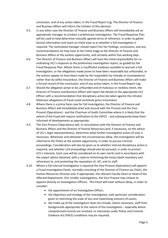conclusion, and of any action taken, in the Fraud Report Log. The Director of Finance and Business Affairs will inform the initiator of this decision.

- 4.5. In any other case the Director of Finance and Business Affairs will immediately ask an appropriate manager to conduct a preliminary investigation. The Fraud Response Plan will be used to help determine mutually agreed terms of reference, in order to gather factual information and reach an initial view as to whether a full investigation is required. The nominated manager should report his/ her findings, conclusions, and any recommendations he may have at this initial stage to the Director of Finance and Business Affairs at the earliest opportunity, and certainly within five working days.
- 4.6. The Director of Finance and Business Affairs will have the initial responsibility for coordinating UCL's response to the preliminary investigation report, as guided by the Fraud Response Plan. Where there is insufficient evidence available to warrant a full investigation, or the allegations made prove to have been reasonable but unfounded, or the actions appear to have been made by the respondent by mistake or incompetence rather than by wilful misconduct, the Director of Finance and Business Affairs will make a formal record of this conclusion, and of any action taken, in the Fraud Report Log.
- 4.7. Should the allegation prove to be unfounded and of malicious or reckless intent, the Director of Finance and Business Affairs will report the details to the appropriate UCL Officer with a recommendation that disciplinary action be taken against the initiator. Malicious allegations of fraud could constitute gross misconduct.
- 4.8. Where there is a prima facie case for full investigation, the Director of Finance and Business Affairs will immediately brief and consult with the Provost and the Vice-Provost (Operations) - and the Chairman of Audit Committee where it is likely that the extent of the fraud will require notification to the HEFCE - and subsequently keep them informed of developments as appropriate.
- 4.9. The Vice-Provost (Operations) will, in consultation with the Director of Finance and Business Affairs and the Director of Human Resources (and, if necessary, on the advice of UCL's legal representatives), determine what further investigative action (if any) is necessary. Whenever and wherever the circumstances allow, the investigation will be referred to the Police at the earliest opportunity, in order to pursue criminal proceedings. Consideration will also be given as to whether internal disciplinary action is required, and whether civil proceedings should also be pursued, in order to protect UCL's interests. Each case will be considered on its own merits and in accordance with the expert advice obtained, with a view to minimising the losses (both monetary and otherwise) to, and protecting the reputation of, UCL and its staff.
- 4.10. Where a full internal investigation is required the Vice-Provost (Operations) will appoint a Fraud Investigation Panel, normally consisting of the Director of Finance (as Chair), the Human Resources Director and, if appropriate, the relevant Faculty Dean or Head of the affected Department. (For smaller investigations, the Vice-Provost may choose to appoint directly an Investigation Officer). This Panel will meet without delay, in order to consider:
	- the appointment of an Investigation Officer;
	- the objectives and strategy of the investigation, with particular consideration given to restricting the scale of loss and maximising recovery of assets;
	- the make-up of the investigation team (to include, where necessary, staff from backgrounds appropriate to the nature of the investigation - especially where computerised records are involved, or interviews under Police and Criminal Evidence Act (PACE) conditions may be required;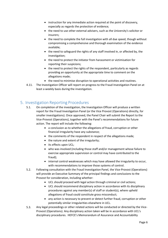- instruction for any immediate action required at the point of discovery, especially as regards the protection of evidence;
- the need to use other external advisers, such as the University's solicitor or insurers;
- the need to complete the full investigation with all due speed, though without compromising a comprehensive and thorough examination of the evidence available;
- the need to safeguard the rights of any staff involved in, or affected by, the investigation;
- the need to protect the initiator from harassment or victimisation for reporting their suspicions;
- the need to protect the rights of the respondent, particularly as regards providing an opportunity at the appropriate time to comment on the allegations made;
- the need to minimise disruption to operational activities and routines.
- 4.11. The Investigation Officer will report on progress to the Fraud Investigation Panel on at least a weekly basis during the investigation.

### 5. Investigation Reporting Procedures

- 5.1. On completion of the investigation, the Investigation Officer will produce a written report for the Fraud Investigation Panel (or the Vice Provost (Operations) directly, for smaller investigations). Once approved, the Panel Chair will submit the Report to the Vice-Provost (Operations), together with the Panel's recommendations for future action. The report will include the following:
	- a conclusion as to whether the allegations of fraud, corruption or other financial irregularity have any substance;
	- the comments of the respondent in respect of the allegations made;
	- the nature and extent of the irregularity;
	- its effects upon UCL;
	- who was involved (including those staff and/or management whose failure to exercise appropriate supervision or control may have contributed to the fraud);
	- internal control weaknesses which may have allowed the irregularity to occur, with recommendations to improve those systems of control.
- 5.2. Following consultation with the Fraud Investigation Panel, the Vice-Provost (Operations) will provide an Executive Summary of the principal findings and conclusions to the Provost for consideration, including whether:
	- UCL should proceed with legal action through criminal or civil actions;
	- UCL should recommend disciplinary action in accordance with its disciplinary procedures against any member(s) of staff or student(s), where upheld allegations of fraud could constitute gross misconduct;
	- any action is necessary to prevent or detect further fraud, corruption or other potentially similar irregularities elsewhere in UCL.
- 5.3. Any legal proceedings or other related actions will be conducted or directed by the Vice-Provost (Operations). Any disciplinary action taken will be in accordance with UCL's disciplinary procedures. HEFCE's Memorandum of Assurance and Accountability